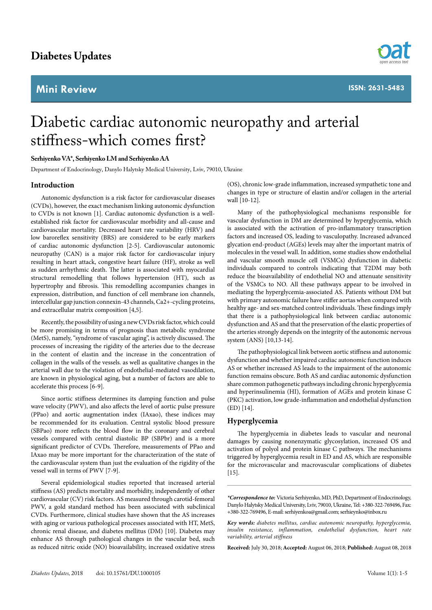# **Mini Review**



# Diabetic cardiac autonomic neuropathy and arterial stiffness-which comes first?

## **Serhiyenko VA\*, Serhiyenko LM and Serhiyenko AA**

Department of Endocrinology, Danylo Halytsky Medical University, Lviv, 79010, Ukraine

# **Introduction**

Autonomic dysfunction is a risk factor for cardiovascular diseases (CVDs), however, the exact mechanism linking autonomic dysfunction to CVDs is not known [1]. Cardiac autonomic dysfunction is a wellestablished risk factor for cardiovascular morbidity and all-cause and cardiovascular mortality. Decreased heart rate variability (HRV) and low baroreflex sensitivity (BRS) are considered to be early markers of cardiac autonomic dysfunction [2-5]. Cardiovascular autonomic neuropathy (CAN) is a major risk factor for cardiovascular injury resulting in heart attack, congestive heart failure (HF), stroke as well as sudden arrhythmic death. The latter is associated with myocardial structural remodelling that follows hypertension (HT), such as hypertrophy and fibrosis. This remodelling accompanies changes in expression, distribution, and function of cell membrane ion channels, intercellular gap junction connexin-43 channels, Ca2+-cycling proteins, and extracellular matrix composition [4,5].

Recently, the possibility of using a new CVDs risk factor, which could be more promising in terms of prognosis than metabolic syndrome (MetS), namely, "syndrome of vascular aging", is actively discussed. The processes of increasing the rigidity of the arteries due to the decrease in the content of elastin and the increase in the concentration of collagen in the walls of the vessels. as well as qualitative changes in the arterial wall due to the violation of endothelial-mediated vasodilation, are known in physiological aging, but a number of factors are able to accelerate this process [6-9].

Since aortic stiffness determines its damping function and pulse wave velocity (PWV), and also affects the level of aortic pulse pressure (PPao) and aortic augmentation index (IAxao), these indices may be recommended for its evaluation. Central systolic blood pressure (SBPao) more reflects the blood flow in the coronary and cerebral vessels compared with central diastolic BP (SBPbr) and is a more significant predictor of CVDs. Therefore, measurements of PPao and IAxao may be more important for the characterization of the state of the cardiovascular system than just the evaluation of the rigidity of the vessel wall in terms of PWV [7-9].

Several epidemiological studies reported that increased arterial stiffness (AS) predicts mortality and morbidity, independently of other cardiovascular (CV) risk factors. AS measured through carotid-femoral PWV, a gold standard method has been associated with subclinical CVDs. Furthermore, clinical studies have shown that the AS increases with aging or various pathological processes associated with HT, MetS, chronic renal disease, and diabetes mellitus (DM) [10]. Diabetes may enhance AS through pathological changes in the vascular bed, such as reduced nitric oxide (NO) bioavailability, increased oxidative stress

(OS), chronic low-grade inflammation, increased sympathetic tone and changes in type or structure of elastin and/or collagen in the arterial wall [10-12].

Many of the pathophysiological mechanisms responsible for vascular dysfunction in DM are determined by hyperglycemia, which is associated with the activation of pro-inflammatory transcription factors and increased OS, leading to vasculopathy. Increased advanced glycation end-product (AGEs) levels may alter the important matrix of molecules in the vessel wall. In addition, some studies show endothelial and vascular smooth muscle cell (VSMCs) dysfunction in diabetic individuals compared to controls indicating that T2DM may both reduce the bioavailability of endothelial NO and attenuate sensitivity of the VSMCs to NO. All these pathways appear to be involved in mediating the hyperglycemia-associated AS. Patients without DM but with primary autonomic failure have stiffer aortas when compared with healthy age- and sex-matched control individuals. These findings imply that there is a pathophysiological link between cardiac autonomic dysfunction and AS and that the preservation of the elastic properties of the arteries strongly depends on the integrity of the autonomic nervous system (ANS) [10,13-14].

The pathophysiological link between aortic stiffness and autonomic dysfunction and whether impaired cardiac autonomic function induces AS or whether increased AS leads to the impairment of the autonomic function remains obscure. Both AS and cardiac autonomic dysfunction share common pathogenetic pathways including chronic hyperglycemia and hyperinsulinemia (HI), formation of AGEs and protein kinase C (PKC) activation, low grade-inflammation and endothelial dysfunction (ED) [14].

## **Hyperglycemia**

The hyperglycemia in diabetes leads to vascular and neuronal damages by causing nonenzymatic glycosylation, increased OS and activation of polyol and protein kinase C pathways. The mechanisms triggered by hyperglycemia result in ED and AS, which are responsible for the microvascular and macrovascular complications of diabetes [15].

*\*Correspondence to:* Victoria Serhiyenko, MD, PhD, Department of Endocrinology, Danylo Halytsky Medical University, Lviv, 79010, Ukraine, Tel: +380-322-769496, Fax: +380-322-769496, E-mail: serhiyenkoa@gmail.com; serhieynko@inbox.ru

*Key words: diabetes mellitus, cardiac autonomic neuropathy, hyperglycemia, insulin resistance, inflammation, endothelial dysfunction, heart rate variability, arterial stiffness*

**Received:** July 30, 2018; **Accepted:** August 06, 2018; **Published:** August 08, 2018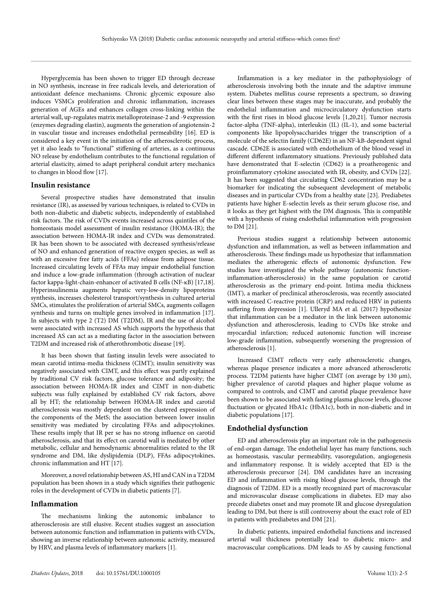Hyperglycemia has been shown to trigger ED through decrease in NO synthesis, increase in free radicals levels, and deterioration of antioxidant defence mechanisms. Chronic glycemic exposure also induces VSMCs proliferation and chronic inflammation, increases generation of AGEs and enhances collagen cross-linking within the arterial wall, up-regulates matrix metalloproteinase-2 and -9 expression (enzymes degrading elastin), augments the generation of angiotensin-2 in vascular tissue and increases endothelial permeability [16]. ED is considered a key event in the initiation of the atherosclerotic process, yet it also leads to "functional" stiffening of arteries, as a continuous NO release by endothelium contributes to the functional regulation of arterial elasticity, aimed to adapt peripheral conduit artery mechanics to changes in blood flow [17].

# **Insulin resistance**

Several prospective studies have demonstrated that insulin resistance (IR), as assessed by various techniques, is related to CVDs in both non-diabetic and diabetic subjects, independently of established risk factors. The risk of CVDs events increased across quintiles of the homeostasis model assessment of insulin resistance (HOMA-IR); the association between HOMA-IR index and CVDs was demonstrated. IR has been shown to be associated with decreased synthesis/release of NO and enhanced generation of reactive oxygen species, as well as with an excessive free fatty acids (FFAs) release from adipose tissue. Increased circulating levels of FFAs may impair endothelial function and induce a low-grade inflammation (through activation of nuclear factor kappa-light-chain-enhancer of activated B cells (NF-κB) [17,18]. Hyperinsulinemia augments hepatic very-low-density lipoproteins synthesis, increases cholesterol transport/synthesis in cultured arterial SMCs, stimulates the proliferation of arterial SMCs, augments collagen synthesis and turns on multiple genes involved in inflammation [17]. In subjects with type 2 (T2) DM (T2DM), IR and the use of alcohol were associated with increased AS which supports the hypothesis that increased AS can act as a mediating factor in the association between T2DM and increased risk of atherothrombotic disease [19].

It has been shown that fasting insulin levels were associated to mean carotid intima-media thickness (CIMT); insulin sensitivity was negatively associated with CIMT, and this effect was partly explained by traditional CV risk factors, glucose tolerance and adiposity; the association between HOMA-IR index and CIMT in non-diabetic subjects was fully explained by established CV risk factors, above all by HT; the relationship between HOMA-IR index and carotid atherosclerosis was mostly dependent on the clustered expression of the components of the MetS; the association between lower insulin sensitivity was mediated by circulating FFAs and adipocytokines. These results imply that IR per se has no strong influence on carotid atherosclerosis, and that its effect on carotid wall is mediated by other metabolic, cellular and hemodynamic abnormalities related to the IR syndrome and DM, like dyslipidemia (DLP), FFAs adipocytokines, chronic inflammation and HT [17].

Moreover, a novel relationship between AS, HI and CAN in a T2DM population has been shown in a study which signifies their pathogenic roles in the development of CVDs in diabetic patients [7].

#### **Inflammation**

The mechanisms linking the autonomic imbalance to atherosclerosis are still elusive. Recent studies suggest an association between autonomic function and inflammation in patients with CVDs, showing an inverse relationship between autonomic activity, measured by HRV, and plasma levels of inflammatory markers [1].

Inflammation is a key mediator in the pathophysiology of atherosclerosis involving both the innate and the adaptive immune system. Diabetes mellitus course represents a spectrum, so drawing clear lines between these stages may be inaccurate, and probably the endothelial inflammation and microcirculatory dysfunction starts with the first rises in blood glucose levels [1,20,21]. Tumor necrosis factor-alpha (TNF-alpha), interleukin (IL) (IL-1), and some bacterial components like lipopolysaccharides trigger the transcription of a molecule of the selectin family (CD62E) in an NF-kB-dependent signal cascade. CD62E is associated with endothelium of the blood vessel in different different inflammatory situations. Previously published data have demonstrated that E-selectin (CD62) is a proatherogenic and proinflammatory cytokine associated with IR, obesity, and CVDs [22]. It has been suggested that circulating CD62 concentration may be a biomarker for indicating the subsequent development of metabolic diseases and in particular CVDs from a healthy state [23]. Prediabetes patients have higher E-selectin levels as their serum glucose rise, and it looks as they get highest with the DM diagnosis. This is compatible with a hypothesis of rising endothelial inflammation with progression to DM [21].

Previous studies suggest a relationship between autonomic dysfunction and inflammation, as well as between inflammation and atherosclerosis. These findings made us hypothesize that inflammation mediates the atherogenic effects of autonomic dysfunction. Few studies have investigated the whole pathway (autonomic functioninflammation-atherosclerosis) in the same population or carotid atherosclerosis as the primary end-point. Intima media thickness (IMT), a marker of preclinical atherosclerosis, was recently associated with increased C-reactive protein (CRP) and reduced HRV in patients suffering from depression [1]. Ulleryd MA et al. (2017) hypothesize that inflammation can be a mediator in the link between autonomic dysfunction and atherosclerosis, leading to CVDs like stroke and myocardial infarction; reduced autonomic function will increase low-grade inflammation, subsequently worsening the progression of atherosclerosis [1].

Increased CIMT reflects very early atherosclerotic changes, whereas plaque presence indicates a more advanced atherosclerotic process. T2DM patients have higher CIMT (on average by 130 μm), higher prevalence of carotid plaques and higher plaque volume as compared to controls, and CIMT and carotid plaque prevalence have been shown to be associated with fasting plasma glucose levels, glucose fluctuation or glycated HbA1c (HbA1c), both in non-diabetic and in diabetic populations [17].

#### **Endothelial dysfunction**

ED and atherosclerosis play an important role in the pathogenesis of end-organ damage. The endothelial layer has many functions, such as homeostasis, vascular permeability, vasoregulation, angiogenesis and inflammatory response. It is widely accepted that ED is the atherosclerosis precursor [24]. DM candidates have an increasing ED and inflammation with rising blood glucose levels, through the diagnosis of T2DM. ED is a mostly recognized part of macrovascular and microvascular disease complications in diabetes. ED may also precede diabetes onset and may promote IR and glucose dysregulation leading to DM, but there is still controversy about the exact role of ED in patients with prediabetes and DM [21].

In diabetic patients, impaired endothelial functions and increased arterial wall thickness potentially lead to diabetic micro- and macrovascular complications. DM leads to AS by causing functional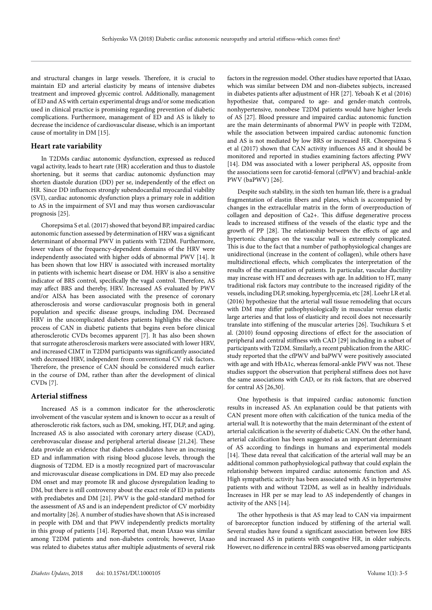and structural changes in large vessels. Therefore, it is crucial to maintain ED and arterial elasticity by means of intensive diabetes treatment and improved glycemic control. Additionally, management of ED and AS with certain experimental drugs and/or some medication used in clinical practice is promising regarding prevention of diabetic complications. Furthermore, management of ED and AS is likely to decrease the incidence of cardiovascular disease, which is an important cause of mortality in DM [15].

#### **Heart rate variability**

In T2DMs cardiac autonomic dysfunction, expressed as reduced vagal activity, leads to heart rate (HR) acceleration and thus to diastole shortening, but it seems that cardiac autonomic dysfunction may shorten diastole duration (DD) per se, independently of the effect on HR. Since DD influences strongly subendocardial myocardial viability (SVI), cardiac autonomic dysfunction plays a primary role in addition to AS in the impairment of SVI and may thus worsen cardiovascular prognosis [25].

Chorepsima S et al. (2017) showed that beyond BP, impaired cardiac autonomic function assessed by determination of HRV was a significant determinant of abnormal PWV in patients with T2DM. Furthermore, lower values of the frequency-dependent domains of the HRV were independently associated with higher odds of abnormal PWV [14]. It has been shown that low HRV is associated with increased mortality in patients with ischemic heart disease or DM. HRV is also a sensitive indicator of BRS control, specifically the vagal control. Therefore, AS may affect BRS and thereby, HRV. Increased AS evaluated by PWV and/or AISA has been associated with the presence of coronary atherosclerosis and worse cardiovascular prognosis both in general population and specific disease groups, including DM. Decreased HRV in the uncomplicated diabetes patients highlights the obscure process of CAN in diabetic patients that begins even before clinical atherosclerotic CVDs becomes apparent [7]. It has also been shown that surrogate atherosclerosis markers were associated with lower HRV, and increased CIMT in T2DM participants was significantly associated with decreased HRV, independent from conventional CV risk factors. Therefore, the presence of CAN should be considered much earlier in the course of DM, rather than after the development of clinical CVDs [7].

#### **Arterial stiffness**

Increased AS is a common indicator for the atherosclerotic involvement of the vascular system and is known to occur as a result of atherosclerotic risk factors, such as DM, smoking, HT, DLP, and aging. Increased AS is also associated with coronary artery disease (CAD), cerebrovascular disease and peripheral arterial disease [21,24]. These data provide an evidence that diabetes candidates have an increasing ED and inflammation with rising blood glucose levels, through the diagnosis of T2DM. ED is a mostly recognized part of macrovascular and microvascular disease complications in DM. ED may also precede DM onset and may promote IR and glucose dysregulation leading to DM, but there is still controversy about the exact role of ED in patients with prediabetes and DM [21]. PWV is the gold-standard method for the assessment of AS and is an independent predictor of CV morbidity and mortality [26]. A number of studies have shown that AS is increased in people with DM and that PWV independently predicts mortality in this group of patients [14]. Reported that, mean IAxao was similar among T2DM patients and non-diabetes controls; however, IAxao was related to diabetes status after multiple adjustments of several risk

factors in the regression model. Other studies have reported that IAxao, which was similar between DM and non-diabetes subjects, increased in diabetes patients after adjustment of HR [27]. Yeboah K et al (2016) hypothesize that, compared to age- and gender-match controls, nonhypertensive, nonobese T2DM patients would have higher levels of AS [27]. Blood pressure and impaired cardiac autonomic function are the main determinants of abnormal PWV in people with T2DM, while the association between impaired cardiac autonomic function and AS is not mediated by low BRS or increased HR. Chorepsima S et al (2017) shown that CAN activity influences AS and it should be monitored and reported in studies examining factors affecting PWV [14]. DM was associated with a lower peripheral AS, opposite from the associations seen for carotid-femoral (cfPWV) and brachial-ankle PWV (baPWV) [26].

Despite such stability, in the sixth ten human life, there is a gradual fragmentation of elastin fibers and plates, which is accompanied by changes in the extracellular matrix in the form of overproduction of collagen and deposition of Ca2+. This diffuse degenerative process leads to increased stiffness of the vessels of the elastic type and the growth of PP [28]. The relationship between the effects of age and hypertonic changes on the vascular wall is extremely complicated. This is due to the fact that a number of pathophysiological changes are unidirectional (increase in the content of collagen), while others have multidirectional effects, which complicates the interpretation of the results of the examination of patients. In particular, vascular ductility may increase with HT and decreases with age. In addition to HT, many traditional risk factors may contribute to the increased rigidity of the vessels, including DLP, smoking, hyperglycemia, etc [28]. Loehr LR et al. (2016) hypothesize that the arterial wall tissue remodeling that occurs with DM may differ pathophysiologically in muscular versus elastic large arteries and that loss of elasticity and recoil does not necessarily translate into stiffening of the muscular arteries [26]. Tsuchikura S et al. (2010) found opposing directions of effect for the association of peripheral and central stiffness with CAD [29] including in a subset of participants with T2DM. Similarly, a recent publication from the ARICstudy reported that the cfPWV and baPWV were positively associated with age and with HbA1c, whereas femoral-ankle PWV was not. These studies support the observation that peripheral stiffness does not have the same associations with CAD, or its risk factors, that are observed for central AS [26,30].

One hypothesis is that impaired cardiac autonomic function results in increased AS. An explanation could be that patients with CAN present more often with calcification of the tunica media of the arterial wall. It is noteworthy that the main determinant of the extent of arterial calcification is the severity of diabetic CAN. On the other hand, arterial calcification has been suggested as an important determinant of AS according to findings in humans and experimental models [14]. These data reveal that calcification of the arterial wall may be an additional common pathophysiological pathway that could explain the relationship between impaired cardiac autonomic function and AS. High sympathetic activity has been associated with AS in hypertensive patients with and without T2DM, as well as in healthy individuals. Increases in HR per se may lead to AS independently of changes in activity of the ANS [14].

The other hypothesis is that AS may lead to CAN via impairment of baroreceptor function induced by stiffening of the arterial wall. Several studies have found a significant association between low BRS and increased AS in patients with congestive HR, in older subjects. However, no difference in central BRS was observed among participants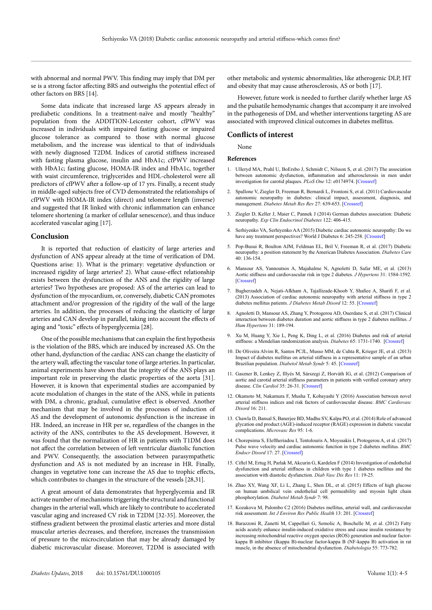with abnormal and normal PWV. This finding may imply that DM per se is a strong factor affecting BRS and outweighs the potential effect of other factors on BRS [14].

Some data indicate that increased large AS appears already in prediabetic conditions. In a treatment-naïve and mostly "healthy" population from the ADDITION-Leicester cohort, cfPWV was increased in individuals with impaired fasting glucose or impaired glucose tolerance as compared to those with normal glucose metabolism, and the increase was identical to that of individuals with newly diagnosed T2DM. Indices of carotid stiffness increased with fasting plasma glucose, insulin and HbA1c; cfPWV increased with HbA1c; fasting glucose, HOMA-IR index and HbA1c, together with waist circumference, triglycerides and HDL-cholesterol were all predictors of cfPWV after a follow-up of 17 yrs. Finally, a recent study in middle-aged subjects free of CVD demonstrated the relationships of cfPWV with HOMA-IR index (direct) and telomere length (inverse) and suggested that IR linked with chronic inflammation can enhance telomere shortening (a marker of cellular senescence), and thus induce accelerated vascular aging [17].

#### **Conclusion**

It is reported that reduction of elasticity of large arteries and dysfunction of ANS appear already at the time of verification of DM. Questions arise: 1). What is the primary: vegetative dysfunction or increased rigidity of large arteries? 2). What cause-effect relationship exists between the dysfunction of the ANS and the rigidity of large arteries? Two hypotheses are proposed: AS of the arteries can lead to dysfunction of the myocardium, or, conversely, diabetic CAN promotes attachment and/or progression of the rigidity of the wall of the large arteries. In addition, the processes of reducing the elasticity of large arteries and CAN develop in parallel, taking into account the effects of aging and "toxic" effects of hyperglycemia [28].

One of the possible mechanisms that can explain the first hypothesis is the violation of the BRS, which are induced by increased AS. On the other hand, dysfunction of the cardiac ANS can change the elasticity of the artery wall, affecting the vascular tone of large arteries. In particular, animal experiments have shown that the integrity of the ANS plays an important role in preserving the elastic properties of the aorta [31]. However, it is known that experimental studies are accompanied by acute modulation of changes in the state of the ANS, while in patients with DM, a chronic, gradual, cumulative effect is observed. Another mechanism that may be involved in the processes of induction of AS and the development of autonomic dysfunction is the increase in HR. Indeed, an increase in HR per se, regardless of the changes in the activity of the ANS, contributes to the AS development. However, it was found that the normalization of HR in patients with T1DM does not affect the correlation between of left ventricular diastolic function and PWV. Consequently, the association between parasympathetic dysfunction and AS is not mediated by an increase in HR. Finally, changes in vegetative tone can increase the AS due to trophic effects, which contributes to changes in the structure of the vessels [28,31].

A great amount of data demonstrates that hyperglycemia and IR activate number of mechanisms triggering the structural and functional changes in the arterial wall, which are likely to contribute to accelerated vascular aging and increased CV risk in T2DM [32-35]. Moreover, the stiffness gradient between the proximal elastic arteries and more distal muscular arteries decreases, and therefore, increases the transmission of pressure to the microcirculation that may be already damaged by diabetic microvascular disease. Moreover, T2DM is associated with

other metabolic and systemic abnormalities, like atherogenic DLP, HT and obesity that may cause atherosclerosis, AS or both [17].

However, future work is needed to further clarify whether large AS and the pulsatile hemodynamic changes that accompany it are involved in the pathogenesis of DM, and whether interventions targeting AS are associated with improved clinical outcomes in diabetes mellitus.

# **Conflicts of interest**

None

#### **References**

- 1. Ulleryd MA, Prahl U, BoErsbo J, Schmidt C, Nilsson S, et al. (2017) The association between autonomic dysfunction, inflammation and atherosclerosis in men under investigation for carotid plaques. *PLoS One* 12: e0174974. [\[Crossref\]](http://www.ncbi.nlm.nih.gov/pubmed/23822928)
- 2. Spallone V, Ziegler D, Freeman R, Bernardi L, Frontoni S, et al. (2011) Cardiovascular autonomic neuropathy in diabetes: clinical impact, assessment, diagnosis, and management. *Diabetes Metab Res Rev* 27: 639-653. [\[Crossref\]](https://www.ncbi.nlm.nih.gov/pubmed/21695768)
- 3. Ziegler D, Keller J, Maier C, Pannek J (2014) German diabetes association: Diabetic neuropathy. *Exp Clin Endocrinol Diabetes* 122: 406-415.
- Serhiyenko VA, Serhiyenko AA (2015) Diabetic cardiac autonomic neuropathy: Do we have any treatment perspectives? World J Diabetes 6: 245-258. [\[Crossref\]](https://www.ncbi.nlm.nih.gov/pubmed/25789106)
- 5. Pop-Busui R, Boulton AJM, Feldman EL, Bril V, Freeman R, et al. (2017) Diabetic neuropathy: a position statement by the American Diabetes Association. *Diabetes Care* 40: 136-154.
- 6. Mansour AS, Yannoutsos A, Majahalme N, Agnoletti D, Safar ME, et al. (2013) Aortic stiffness and cardiovascular risk in type 2 diabetes. *J Hypertens* 31: 1584-1592. [\[Crossref\]](http://www.ncbi.nlm.nih.gov/pubmed/23822928)
- 7. Bagherzadeh A, Nejati-Afkham A, Tajallizade-Khoob Y, Shafiee A, Sharifi F, et al. (2013) Association of cardiac autonomic neuropathy with arterial stiffness in type 2 diabetes mellitus patients. *J Diabetes Metab Disord* 12: 55. [\[Crossref\]](http://www.ncbi.nlm.nih.gov/pubmed/24360252)
- 8. Agnoletti D, Mansour AS, Zhang Y, Protogerou AD, Ouerdane S, et al. (2017) Clinical interaction between diabetes duration and aortic stiffness in type 2 diabetes mellitus. *J Hum Hypertens* 31: 189-194.
- 9. Xu M, Huang Y, Xie L, Peng K, Ding L, et al. (2016) Diabetes and risk of arterial stiffness: a Mendelian randomization analysis. *Diabetes* 65: 1731-1740. [\[Crossref\]](https://www.ncbi.nlm.nih.gov/pubmed/26953161)
- 10. De Oliveira Alvim R, Santos PCJL, Musso MM, de Cuhta R, Krieger JE, et al. (2013) Impact of diabetes mellitus on arterial stiffness in a representative sample of an urban Brazilian population. *Diabetol Metab Syndr* 5: 45. [\[Crossref\]](https://www.ncbi.nlm.nih.gov/pubmed/23965633)
- 11. Gaszner B, Lenkey Z, Illyés M, Sárszegi Z, Horváth IG, et al. (2012) Comparison of aortic and carotid arterial stiffness parameters in patients with verified coronary artery disease. *Clin Cardiol* 35: 26-31. [\[Crossref\]](https://www.ncbi.nlm.nih.gov/pubmed/22083664)
- 12. Okamoto M, Nakamura F, Musha T, Kobayashi Y (2016) Association between novel arterial stiffness indices and risk factors of cardiovascular disease. *BMC Cardiovasc Disord* 16: 211.
- 13. Chawla D, Bansal S, Banerjee BD, Madhu SV, Kalpa PO, et al. (2014) Role of advanced glycation end product (AGE)-induced receptor (RAGE) expression in diabetic vascular complications. *Microvasc Res* 95: 1-6.
- 14. Chorepsima S, Eleftheriadou I, Tentolouris A, Moyssakis I, Protogerou A, et al. (2017) Pulse wave velocity and cardiac autonomic function in type 2 diabetes mellitus. *BMC Endocr Disord* 17: 27. [\[Crossref\]](http://www.ncbi.nlm.nih.gov/pubmed/28526073)
- 15. Ciftel M, Ertug H, Parlak M, Akcurin G, Kardelen F (2014) Investigation of endothelial dysfunction and arterial stiffness in children with type 1 diabetes mellitus and the association with diastolic dysfunction. *Diab Vasc Dis Res* 11: 19-25.
- 16. Zhao XY, Wang XF, Li L, Zhang L, Shen DL, et al. (2015) Effects of high glucose on human umbilical vein endothelial cell permeability and myosin light chain phosphorylation. *Diabetol Metab Syndr* 7: 98.
- 17. Kozakova M, Palombo C2 (2016) Diabetes mellitus, arterial wall, and cardiovascular risk assessment. *Int J Environ Res Public Health* 13: 201. [\[Crossref\]](http://www.ncbi.nlm.nih.gov/pubmed/26861377)
- 18. Barazzoni R, Zanetti M, Cappellari G, Semolic A, Boschelle M, et al. (2012) Fatty acids acutely enhance insulin-induced oxidative stress and cause insulin resistance by increasing mitochondrial reactive oxygen species (ROS) generation and nuclear factorkappa B inhibitor (Ikappa B)-nuclear factor-kappa B (NF-kappa B) activation in rat muscle, in the absence of mitochondrial dysfunction. *Diabetologia* 55: 773-782.